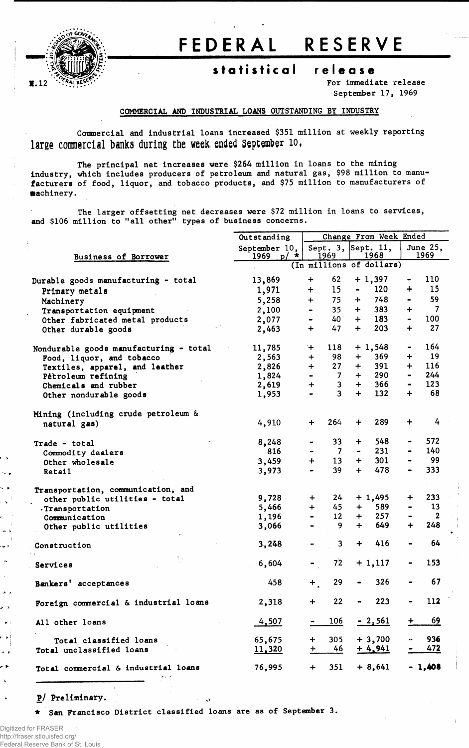

## **FEDERA L RESERV E**

## **statistica l releas e**

**For immediate release September 17, 1969**

## **COMMERCIAL AND INDUSTRIAL LOANS OUTSTANDING BY INDUSTRY**

**Commercial and industrial loans increased \$351 million at weekly reporting large commercial banks during the week, ended September 10,**

**The principal net increases were \$264 million in loans to the mining industry, which includes producers of petroleum and natural gas, \$98 million to manufacturers of food, liquor, and tobacco products, and \$75 million to manufacturers of machinery.** 

**The larger offsetting net decreases were \$72 million in loans to services, and \$106 million to "all other" types of business concerns.**

|                                        | Outstanding              |                                                | Change From Week Ended                          |                                                |  |  |  |  |
|----------------------------------------|--------------------------|------------------------------------------------|-------------------------------------------------|------------------------------------------------|--|--|--|--|
|                                        | September $10,$          |                                                | Sept. 3, $\left \text{Sept. } 11,\right\rangle$ | June 25,                                       |  |  |  |  |
| Business of Borrower                   | 1969 $p/$ *              | 1969                                           | 1968                                            | 1969                                           |  |  |  |  |
|                                        | (In millions of dollars) |                                                |                                                 |                                                |  |  |  |  |
| Durable goods manufacturing - total    | 13,869                   | 62<br>$\ddot{}$                                | $+1,397$                                        | 110                                            |  |  |  |  |
| Primary metals                         | 1,971                    | 15 <sub>1</sub><br>$\ddot{}$                   | 120<br>$\blacksquare$                           | 15<br>$\div$                                   |  |  |  |  |
| Machinery                              | 5,258                    | 75<br>$+$                                      | 748<br>$+$                                      | 59                                             |  |  |  |  |
| Transportation equipment               | 2,100                    | 35 <sub>2</sub>                                | 383<br>$+$                                      | $\overline{7}$<br>$\ddot{}$                    |  |  |  |  |
| Other fabricated metal products        | 2,077                    | 40                                             | 183<br>$+$                                      | 100<br>$\blacksquare$                          |  |  |  |  |
| Other durable goods                    | 2,463                    | 47<br>$+$                                      | 203<br>$+$                                      | 27<br>$\ddag$                                  |  |  |  |  |
| Nondurable goods manufacturing - total | 11,785                   | $+$<br>118                                     | $+1,548$                                        | 164                                            |  |  |  |  |
| Food, liquor, and tobacco              | 2,563                    | 98<br>$\div$                                   | 369<br>$+$                                      | 19<br>$\div$                                   |  |  |  |  |
| Textiles, apparel, and leather         | 2,826                    | 27 <sub>2</sub><br>$+$                         | 391<br>$+$                                      | 116<br>$\ddot{+}$                              |  |  |  |  |
| Pétroleum refining                     | 1,824                    | $\overline{7}$                                 | 290<br>$+$                                      | 244<br>$\blacksquare$                          |  |  |  |  |
| Chemicals and rubber                   | 2,619                    | $\mathbf{3}$<br>$\div$                         | 366<br>$+$                                      | 123<br>$\blacksquare$                          |  |  |  |  |
| Other nondurable goods                 | 1,953                    | $\overline{\mathbf{3}}$                        | $+$<br>132                                      | 68<br>$\ddot{}$                                |  |  |  |  |
|                                        |                          |                                                |                                                 |                                                |  |  |  |  |
| Mining (including crude petroleum &    |                          |                                                |                                                 | 4                                              |  |  |  |  |
| natural gas)                           | 4,910                    | 264<br>$+$                                     | 289<br>$+$                                      | $\ddot{}$                                      |  |  |  |  |
| Trade - total                          | 8,248                    | 33 <sub>°</sub><br>$\blacksquare$              | 548<br>$+$                                      | 572                                            |  |  |  |  |
| Commodity dealers                      | 816                      | $\overline{7}$<br>$\qquad \qquad \blacksquare$ | 231<br>$\bullet$                                | 140                                            |  |  |  |  |
| Other wholesale                        | 3,459                    | 13 <sup>7</sup><br>$+$                         | 301<br>$+$                                      | 99                                             |  |  |  |  |
| Retail                                 | 3,973                    | 39                                             | 478<br>$+$                                      | 333                                            |  |  |  |  |
| Transportation, communication, and     |                          |                                                |                                                 |                                                |  |  |  |  |
| other public utilities - total         | 9,728                    | 24<br>$+$                                      | $+1,495$                                        | 233<br>$\ddot{}$                               |  |  |  |  |
| -Transportation                        | 5,466                    | $+$<br>45                                      | $+$<br>589                                      | 13<br>$\qquad \qquad \blacksquare$             |  |  |  |  |
| Communication                          | 1,196                    | 12 <sup>2</sup>                                | 257<br>$+$                                      | $\overline{2}$<br>$\qquad \qquad \blacksquare$ |  |  |  |  |
| Other public utilities                 | 3,066                    | 9.<br>$\blacksquare$                           | $+$<br>649                                      | 248<br>$\div$                                  |  |  |  |  |
| Construction                           | 3,248                    | $\mathbf{3}$                                   | $+$<br>416                                      | 64                                             |  |  |  |  |
| Services                               | 6,604                    | 72                                             | $+1,117$                                        | 153                                            |  |  |  |  |
| Bankers' acceptances                   | 458                      | 29<br>$+$ .                                    | 326                                             | 67                                             |  |  |  |  |
| Foreign commercial & industrial loans  | 2,318                    | 22<br>$+$                                      | 223                                             | 112                                            |  |  |  |  |
| All other loans                        | 4,507                    | 106                                            | $-2,561$                                        | 69<br>$\ddot{}$                                |  |  |  |  |
| Total classified loans                 | 65,675                   | 305<br>$\ddot{}$                               | $+3,700$                                        | 936                                            |  |  |  |  |
| Total unclassified loans               | 11,320                   | 46<br>$+$                                      | $+4,941$                                        | <u>472</u>                                     |  |  |  |  |
| Total commercial & industrial loans    | 76,995                   | 351<br>$\ddot{}$                               | $+8,641$                                        | $-1,408$                                       |  |  |  |  |

**P/ Preliminary.**

**\* San Francisco District classified loans are as of September 3.**

 $\sim 10$